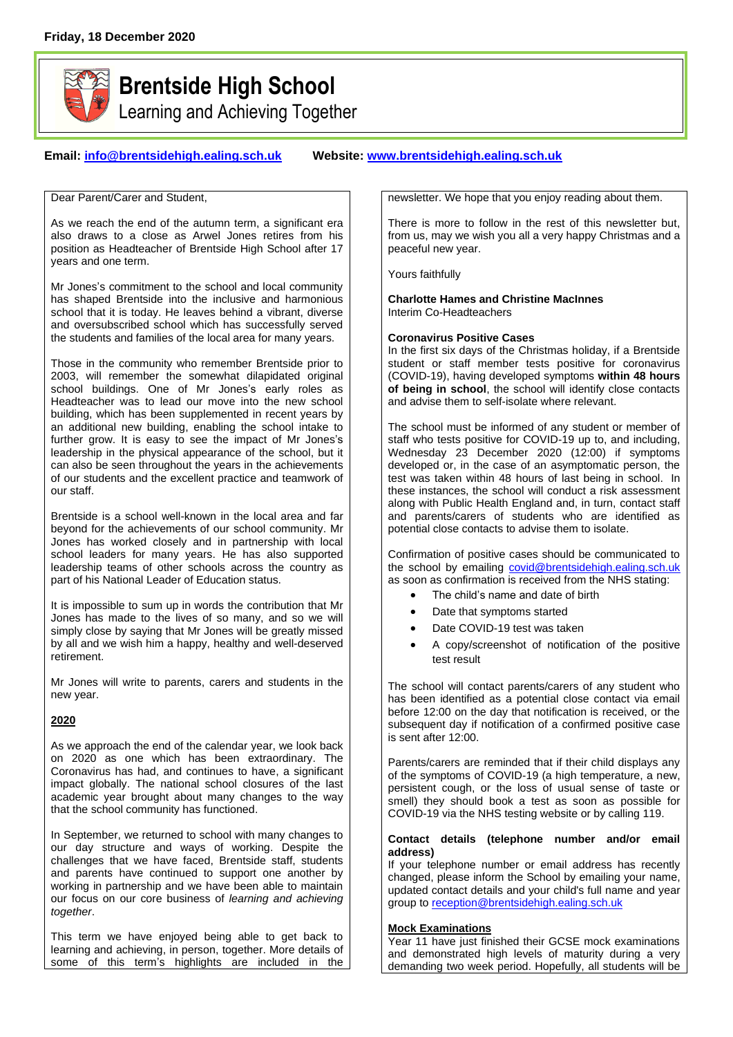

# **Brentside High School**

Learning and Achieving Together

## **Email: [info@brentsidehigh.ealing.sch.uk](mailto:info@brentsidehigh.ealing.sch.uk) Website: www.brentsidehigh.ealing.sch.uk**

Dear Parent/Carer and Student,

As we reach the end of the autumn term, a significant era also draws to a close as Arwel Jones retires from his position as Headteacher of Brentside High School after 17 years and one term.

Mr Jones's commitment to the school and local community has shaped Brentside into the inclusive and harmonious school that it is today. He leaves behind a vibrant, diverse and oversubscribed school which has successfully served the students and families of the local area for many years.

Those in the community who remember Brentside prior to 2003, will remember the somewhat dilapidated original school buildings. One of Mr Jones's early roles as Headteacher was to lead our move into the new school building, which has been supplemented in recent years by an additional new building, enabling the school intake to further grow. It is easy to see the impact of Mr Jones's leadership in the physical appearance of the school, but it can also be seen throughout the years in the achievements of our students and the excellent practice and teamwork of our staff.

Brentside is a school well-known in the local area and far beyond for the achievements of our school community. Mr Jones has worked closely and in partnership with local school leaders for many years. He has also supported leadership teams of other schools across the country as part of his National Leader of Education status.

It is impossible to sum up in words the contribution that Mr Jones has made to the lives of so many, and so we will simply close by saying that Mr Jones will be greatly missed by all and we wish him a happy, healthy and well-deserved retirement.

Mr Jones will write to parents, carers and students in the new year.

## **2020**

As we approach the end of the calendar year, we look back on 2020 as one which has been extraordinary. The Coronavirus has had, and continues to have, a significant impact globally. The national school closures of the last academic year brought about many changes to the way that the school community has functioned.

In September, we returned to school with many changes to our day structure and ways of working. Despite the challenges that we have faced, Brentside staff, students and parents have continued to support one another by working in partnership and we have been able to maintain our focus on our core business of *learning and achieving together*.

This term we have enjoyed being able to get back to learning and achieving, in person, together. More details of some of this term's highlights are included in the newsletter. We hope that you enjoy reading about them.

There is more to follow in the rest of this newsletter but, from us, may we wish you all a very happy Christmas and a peaceful new year.

Yours faithfully

**Charlotte Hames and Christine MacInnes** Interim Co-Headteachers

## **Coronavirus Positive Cases**

In the first six days of the Christmas holiday, if a Brentside student or staff member tests positive for coronavirus (COVID-19), having developed symptoms **within 48 hours of being in school**, the school will identify close contacts and advise them to self-isolate where relevant.

The school must be informed of any student or member of staff who tests positive for COVID-19 up to, and including, Wednesday 23 December 2020 (12:00) if symptoms developed or, in the case of an asymptomatic person, the test was taken within 48 hours of last being in school. In these instances, the school will conduct a risk assessment along with Public Health England and, in turn, contact staff and parents/carers of students who are identified as potential close contacts to advise them to isolate.

Confirmation of positive cases should be communicated to the school by emailing [covid@brentsidehigh.ealing.sch.uk](mailto:info@brentsidehigh.ealing.sch.uk) as soon as confirmation is received from the NHS stating:

- The child's name and date of birth
- Date that symptoms started
- Date COVID-19 test was taken
- A copy/screenshot of notification of the positive test result

The school will contact parents/carers of any student who has been identified as a potential close contact via email before 12:00 on the day that notification is received, or the subsequent day if notification of a confirmed positive case is sent after 12:00.

Parents/carers are reminded that if their child displays any of the symptoms of COVID-19 (a high temperature, a new, persistent cough, or the loss of usual sense of taste or smell) they should book a test as soon as possible for COVID-19 via the NHS testing website or by calling 119.

#### **Contact details (telephone number and/or email address)**

If your telephone number or email address has recently changed, please inform the School by emailing your name, updated contact details and your child's full name and year group to [reception@brentsidehigh.ealing.sch.uk](mailto:reception@brentsidehigh.ealing.sch.uk)

## **Mock Examinations**

Year 11 have just finished their GCSE mock examinations and demonstrated high levels of maturity during a very demanding two week period. Hopefully, all students will be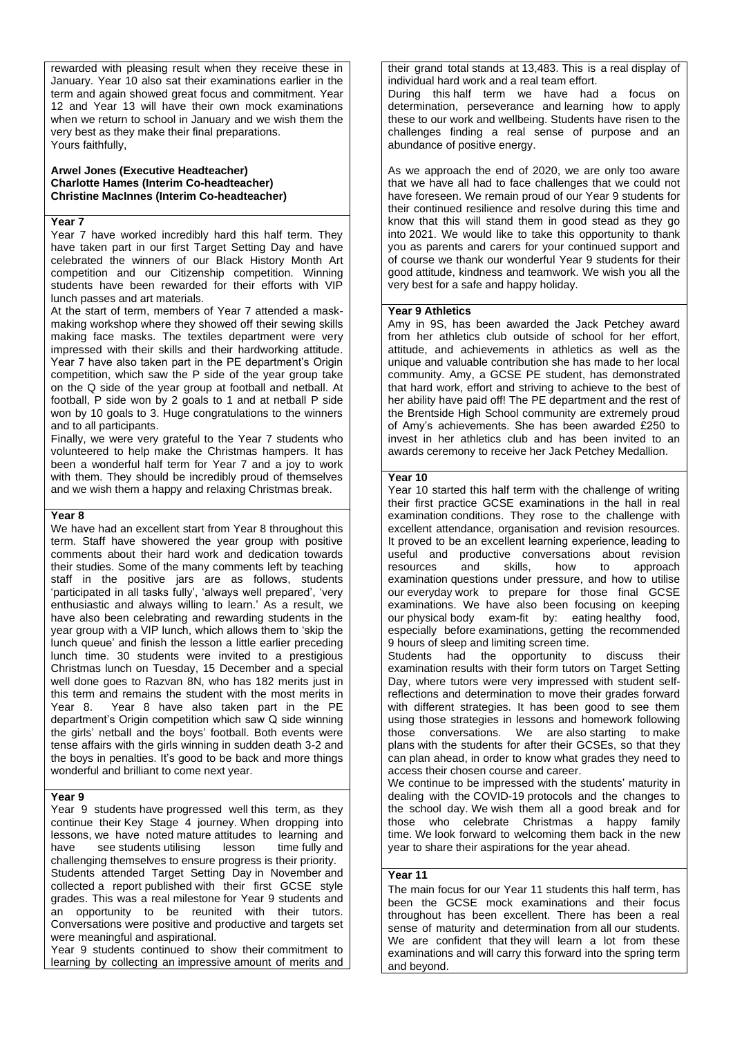rewarded with pleasing result when they receive these in January. Year 10 also sat their examinations earlier in the term and again showed great focus and commitment. Year 12 and Year 13 will have their own mock examinations when we return to school in January and we wish them the very best as they make their final preparations. Yours faithfully,

#### **Arwel Jones (Executive Headteacher) Charlotte Hames (Interim Co-headteacher) Christine MacInnes (Interim Co-headteacher)**

#### **Year 7**

Year 7 have worked incredibly hard this half term. They have taken part in our first Target Setting Day and have celebrated the winners of our Black History Month Art competition and our Citizenship competition. Winning students have been rewarded for their efforts with VIP lunch passes and art materials.

At the start of term, members of Year 7 attended a maskmaking workshop where they showed off their sewing skills making face masks. The textiles department were very impressed with their skills and their hardworking attitude. Year 7 have also taken part in the PE department's Origin competition, which saw the P side of the year group take on the Q side of the year group at football and netball. At football, P side won by 2 goals to 1 and at netball P side won by 10 goals to 3. Huge congratulations to the winners and to all participants.

Finally, we were very grateful to the Year 7 students who volunteered to help make the Christmas hampers. It has been a wonderful half term for Year 7 and a joy to work with them. They should be incredibly proud of themselves and we wish them a happy and relaxing Christmas break.

#### **Year 8**

We have had an excellent start from Year 8 throughout this term. Staff have showered the year group with positive comments about their hard work and dedication towards their studies. Some of the many comments left by teaching staff in the positive jars are as follows, students 'participated in all tasks fully', 'always well prepared', 'very enthusiastic and always willing to learn.' As a result, we have also been celebrating and rewarding students in the year group with a VIP lunch, which allows them to 'skip the lunch queue' and finish the lesson a little earlier preceding lunch time. 30 students were invited to a prestigious Christmas lunch on Tuesday, 15 December and a special well done goes to Razvan 8N, who has 182 merits just in this term and remains the student with the most merits in Year 8. Year 8 have also taken part in the PE department's Origin competition which saw Q side winning the girls' netball and the boys' football. Both events were tense affairs with the girls winning in sudden death 3-2 and the boys in penalties. It's good to be back and more things wonderful and brilliant to come next year.

#### **Year 9**

Year 9 students have progressed well this term, as they continue their Key Stage 4 journey. When dropping into lessons, we have noted mature attitudes to learning and have see students utilising lesson time fully and challenging themselves to ensure progress is their priority. Students attended Target Setting Day in November and collected a report published with their first GCSE style grades. This was a real milestone for Year 9 students and an opportunity to be reunited with their tutors. Conversations were positive and productive and targets set were meaningful and aspirational.

Year 9 students continued to show their commitment to learning by collecting an impressive amount of merits and

their grand total stands at 13,483. This is a real display of individual hard work and a real team effort.

During this half term we have had a focus on determination, perseverance and learning how to apply these to our work and wellbeing. Students have risen to the challenges finding a real sense of purpose and an abundance of positive energy.

As we approach the end of 2020, we are only too aware that we have all had to face challenges that we could not have foreseen. We remain proud of our Year 9 students for their continued resilience and resolve during this time and know that this will stand them in good stead as they go into 2021. We would like to take this opportunity to thank you as parents and carers for your continued support and of course we thank our wonderful Year 9 students for their good attitude, kindness and teamwork. We wish you all the very best for a safe and happy holiday.

#### **Year 9 Athletics**

Amy in 9S, has been awarded the Jack Petchey award from her athletics club outside of school for her effort, attitude, and achievements in athletics as well as the unique and valuable contribution she has made to her local community. Amy, a GCSE PE student, has demonstrated that hard work, effort and striving to achieve to the best of her ability have paid off! The PE department and the rest of the Brentside High School community are extremely proud of Amy's achievements. She has been awarded £250 to invest in her athletics club and has been invited to an awards ceremony to receive her Jack Petchey Medallion.

## **Year 10**

Year 10 started this half term with the challenge of writing their first practice GCSE examinations in the hall in real examination conditions. They rose to the challenge with excellent attendance, organisation and revision resources. It proved to be an excellent learning experience, leading to useful and productive conversations about revision<br>resources and skills, how to approach resources and skills, how to approach examination questions under pressure, and how to utilise our everyday work to prepare for those final GCSE examinations. We have also been focusing on keeping our physical body exam-fit by: eating healthy food, especially before examinations, getting the recommended 9 hours of sleep and limiting screen time.

Students had the opportunity to discuss their examination results with their form tutors on Target Setting Day, where tutors were very impressed with student selfreflections and determination to move their grades forward with different strategies. It has been good to see them using those strategies in lessons and homework following those conversations. We are also starting to make plans with the students for after their GCSEs, so that they can plan ahead, in order to know what grades they need to access their chosen course and career.

We continue to be impressed with the students' maturity in dealing with the COVID-19 protocols and the changes to the school day. We wish them all a good break and for those who celebrate Christmas a happy family time. We look forward to welcoming them back in the new year to share their aspirations for the year ahead.

#### **Year 11**

The main focus for our Year 11 students this half term, has been the GCSE mock examinations and their focus throughout has been excellent. There has been a real sense of maturity and determination from all our students. We are confident that they will learn a lot from these examinations and will carry this forward into the spring term and beyond.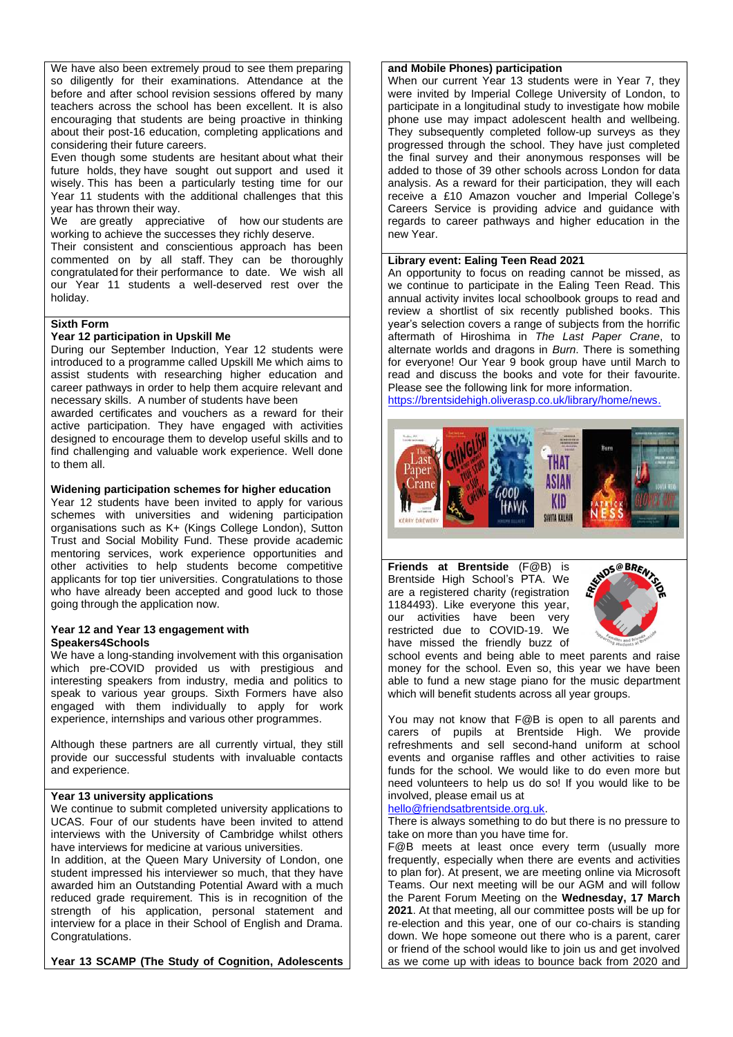We have also been extremely proud to see them preparing so diligently for their examinations. Attendance at the before and after school revision sessions offered by many teachers across the school has been excellent. It is also encouraging that students are being proactive in thinking about their post-16 education, completing applications and considering their future careers.

Even though some students are hesitant about what their future holds, they have sought out support and used it wisely. This has been a particularly testing time for our Year 11 students with the additional challenges that this year has thrown their way.

We are greatly appreciative of how our students are working to achieve the successes they richly deserve.

Their consistent and conscientious approach has been commented on by all staff. They can be thoroughly congratulated for their performance to date. We wish all our Year 11 students a well-deserved rest over the holiday.

#### **Sixth Form**

## **Year 12 participation in Upskill Me**

During our September Induction, Year 12 students were introduced to a programme called Upskill Me which aims to assist students with researching higher education and career pathways in order to help them acquire relevant and necessary skills. A number of students have been

awarded certificates and vouchers as a reward for their active participation. They have engaged with activities designed to encourage them to develop useful skills and to find challenging and valuable work experience. Well done to them all.

#### **Widening participation schemes for higher education**

Year 12 students have been invited to apply for various schemes with universities and widening participation organisations such as K+ (Kings College London), Sutton Trust and Social Mobility Fund. These provide academic mentoring services, work experience opportunities and other activities to help students become competitive applicants for top tier universities. Congratulations to those who have already been accepted and good luck to those going through the application now.

#### **Year 12 and Year 13 engagement with Speakers4Schools**

We have a long-standing involvement with this organisation which pre-COVID provided us with prestigious and interesting speakers from industry, media and politics to speak to various year groups. Sixth Formers have also engaged with them individually to apply for work experience, internships and various other programmes.

Although these partners are all currently virtual, they still provide our successful students with invaluable contacts and experience.

### **Year 13 university applications**

We continue to submit completed university applications to UCAS. Four of our students have been invited to attend interviews with the University of Cambridge whilst others have interviews for medicine at various universities.

In addition, at the Queen Mary University of London, one student impressed his interviewer so much, that they have awarded him an Outstanding Potential Award with a much reduced grade requirement. This is in recognition of the strength of his application, personal statement and interview for a place in their School of English and Drama. Congratulations.

**Year 13 SCAMP (The Study of Cognition, Adolescents** 

#### **and Mobile Phones) participation**

When our current Year 13 students were in Year 7, they were invited by Imperial College University of London, to participate in a longitudinal study to investigate how mobile phone use may impact adolescent health and wellbeing. They subsequently completed follow-up surveys as they progressed through the school. They have just completed the final survey and their anonymous responses will be added to those of 39 other schools across London for data analysis. As a reward for their participation, they will each receive a £10 Amazon voucher and Imperial College's Careers Service is providing advice and guidance with regards to career pathways and higher education in the new Year.

#### **Library event: Ealing Teen Read 2021**

An opportunity to focus on reading cannot be missed, as we continue to participate in the Ealing Teen Read. This annual activity invites local schoolbook groups to read and review a shortlist of six recently published books. This year's selection covers a range of subjects from the horrific aftermath of Hiroshima in *The Last Paper Crane*, to alternate worlds and dragons in *Burn*. There is something for everyone! Our Year 9 book group have until March to read and discuss the books and vote for their favourite. Please see the following link for more information.

[https://brentsidehigh.oliverasp.co.uk/library/home/news.](https://brentsidehigh.oliverasp.co.uk/library/home/news)



**Friends at Brentside** (F@B) is Brentside High School's PTA. We are a registered charity (registration 1184493). Like everyone this year, our activities have been very restricted due to COVID-19. We have missed the friendly buzz of



school events and being able to meet parents and raise money for the school. Even so, this year we have been able to fund a new stage piano for the music department which will benefit students across all year groups.

You may not know that F@B is open to all parents and carers of pupils at Brentside High. We provide refreshments and sell second-hand uniform at school events and organise raffles and other activities to raise funds for the school. We would like to do even more but need volunteers to help us do so! If you would like to be involved, please email us at

#### [hello@friendsatbrentside.org.uk.](mailto:hello@friendsatbrentside.org.uk)

There is always something to do but there is no pressure to take on more than you have time for.

F@B meets at least once every term (usually more frequently, especially when there are events and activities to plan for). At present, we are meeting online via Microsoft Teams. Our next meeting will be our AGM and will follow the Parent Forum Meeting on the **Wednesday, 17 March 2021**. At that meeting, all our committee posts will be up for re-election and this year, one of our co-chairs is standing down. We hope someone out there who is a parent, carer or friend of the school would like to join us and get involved as we come up with ideas to bounce back from 2020 and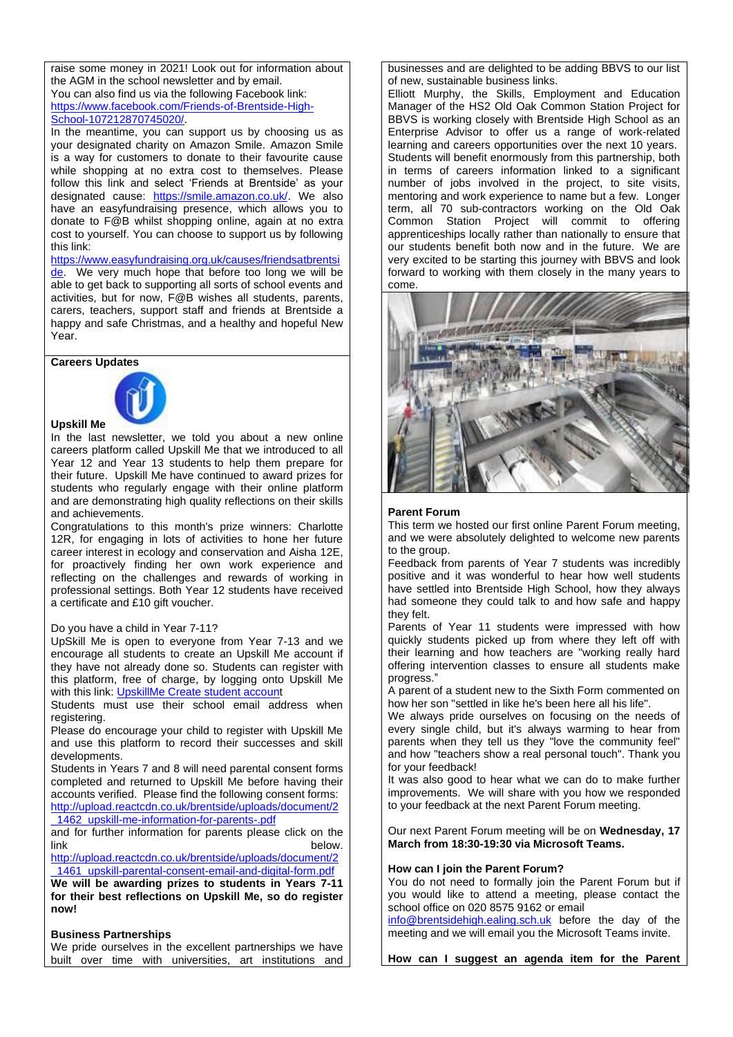raise some money in 2021! Look out for information about the AGM in the school newsletter and by email. You can also find us via the following Facebook link: [https://www.facebook.com/Friends-of-Brentside-High-](https://www.facebook.com/Friends-of-Brentside-High-School-107212870745020/)[School-107212870745020/.](https://www.facebook.com/Friends-of-Brentside-High-School-107212870745020/)

In the meantime, you can support us by choosing us as your designated charity on Amazon Smile. Amazon Smile is a way for customers to donate to their favourite cause while shopping at no extra cost to themselves. Please follow this link and select 'Friends at Brentside' as your designated cause: [https://smile.amazon.co.uk/.](https://smile.amazon.co.uk/) We also have an easyfundraising presence, which allows you to donate to F@B whilst shopping online, again at no extra cost to yourself. You can choose to support us by following this link:

[https://www.easyfundraising.org.uk/causes/friendsatbrentsi](https://www.easyfundraising.org.uk/causes/friendsatbrentside) [de.](https://www.easyfundraising.org.uk/causes/friendsatbrentside) We very much hope that before too long we will be able to get back to supporting all sorts of school events and activities, but for now, F@B wishes all students, parents, carers, teachers, support staff and friends at Brentside a happy and safe Christmas, and a healthy and hopeful New Year.

**Careers Updates**



## **Upskill Me**

In the last newsletter, we told you about a new online careers platform called Upskill Me that we introduced to all Year 12 and Year 13 students to help them prepare for their future. Upskill Me have continued to award prizes for students who regularly engage with their online platform and are demonstrating high quality reflections on their skills and achievements.

Congratulations to this month's prize winners: Charlotte 12R, for engaging in lots of activities to hone her future career interest in ecology and conservation and Aisha 12E, for proactively finding her own work experience and reflecting on the challenges and rewards of working in professional settings. Both Year 12 students have received a certificate and £10 gift voucher.

#### Do you have a child in Year 7-11?

UpSkill Me is open to everyone from Year 7-13 and we encourage all students to create an Upskill Me account if they have not already done so. Students can register with this platform, free of charge, by logging onto Upskill Me with this link: [UpskillMe Create student account](https://upskillme.io/join/student?t=NWY1MGMxOTgxNTliMTEwMTM4YmZjOTcy)

Students must use their school email address when registering.

Please do encourage your child to register with Upskill Me and use this platform to record their successes and skill developments.

Students in Years 7 and 8 will need parental consent forms completed and returned to Upskill Me before having their accounts verified. Please find the following consent forms: [http://upload.reactcdn.co.uk/brentside/uploads/document/2](http://upload.reactcdn.co.uk/brentside/uploads/document/2_1462_upskill-me-information-for-parents-.pdf) [\\_1462\\_upskill-me-information-for-parents-.pdf](http://upload.reactcdn.co.uk/brentside/uploads/document/2_1462_upskill-me-information-for-parents-.pdf)

and for further information for parents please click on the link below. [http://upload.reactcdn.co.uk/brentside/uploads/document/2](http://upload.reactcdn.co.uk/brentside/uploads/document/2_1461_upskill-parental-consent-email-and-digital-form.pdf)

[\\_1461\\_upskill-parental-consent-email-and-digital-form.pdf](http://upload.reactcdn.co.uk/brentside/uploads/document/2_1461_upskill-parental-consent-email-and-digital-form.pdf)

**We will be awarding prizes to students in Years 7-11 for their best reflections on Upskill Me, so do register now!**

## **Business Partnerships**

We pride ourselves in the excellent partnerships we have built over time with universities, art institutions and businesses and are delighted to be adding BBVS to our list of new, sustainable business links.

Elliott Murphy, the Skills, Employment and Education Manager of the HS2 Old Oak Common Station Project for BBVS is working closely with Brentside High School as an Enterprise Advisor to offer us a range of work-related learning and careers opportunities over the next 10 years. Students will benefit enormously from this partnership, both in terms of careers information linked to a significant number of jobs involved in the project, to site visits, mentoring and work experience to name but a few. Longer term, all 70 sub-contractors working on the Old Oak Common Station Project will commit to offering apprenticeships locally rather than nationally to ensure that our students benefit both now and in the future. We are very excited to be starting this journey with BBVS and look forward to working with them closely in the many years to come.



#### **Parent Forum**

This term we hosted our first online Parent Forum meeting, and we were absolutely delighted to welcome new parents to the group.

Feedback from parents of Year 7 students was incredibly positive and it was wonderful to hear how well students have settled into Brentside High School, how they always had someone they could talk to and how safe and happy they felt.

Parents of Year 11 students were impressed with how quickly students picked up from where they left off with their learning and how teachers are "working really hard offering intervention classes to ensure all students make progress."

A parent of a student new to the Sixth Form commented on how her son "settled in like he's been here all his life".

We always pride ourselves on focusing on the needs of every single child, but it's always warming to hear from parents when they tell us they "love the community feel" and how "teachers show a real personal touch". Thank you for your feedback!

It was also good to hear what we can do to make further improvements. We will share with you how we responded to your feedback at the next Parent Forum meeting.

Our next Parent Forum meeting will be on **Wednesday, 17 March from 18:30-19:30 via Microsoft Teams.**

## **How can I join the Parent Forum?**

You do not need to formally join the Parent Forum but if you would like to attend a meeting, please contact the school office on 020 8575 9162 or email

[info@brentsidehigh.ealing.sch.uk](mailto:info@brentsidehigh.ealing.sch.uk) before the day of the meeting and we will email you the Microsoft Teams invite.

**How can I suggest an agenda item for the Parent**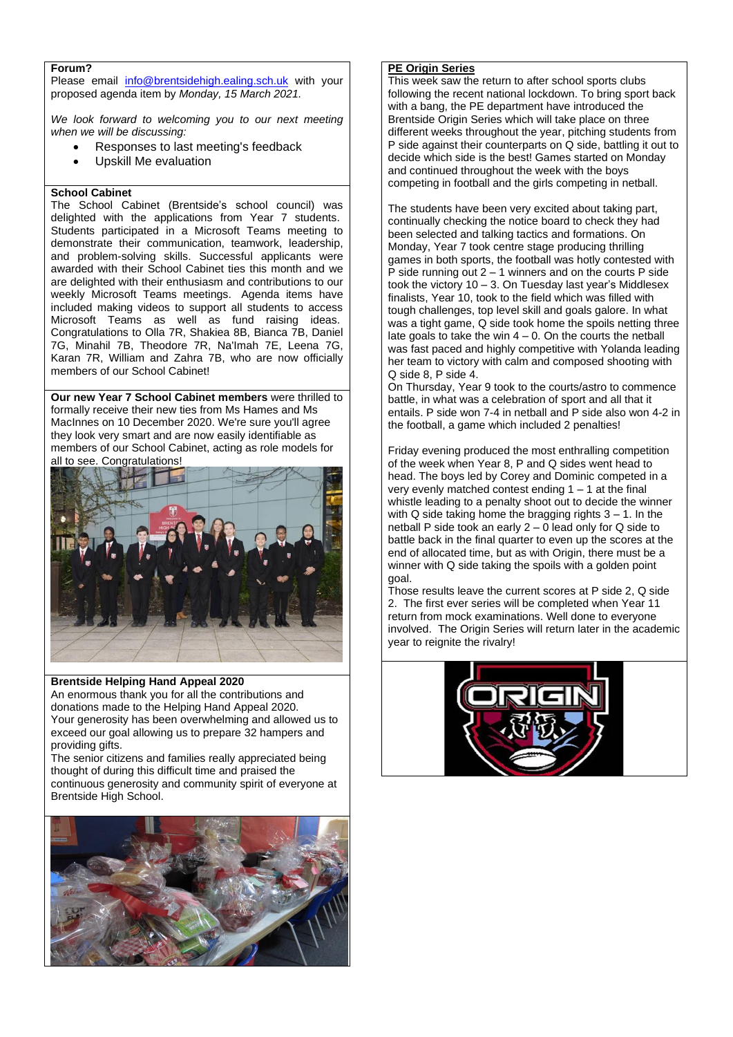## **Forum?**

Please email [info@brentsidehigh.ealing.sch.uk](mailto:info@brentsidehigh.ealing.sch.uk) with your proposed agenda item by *Monday, 15 March 2021.* 

*We look forward to welcoming you to our next meeting when we will be discussing:*

- Responses to last meeting's feedback
- Upskill Me evaluation

#### **School Cabinet**

The School Cabinet (Brentside's school council) was delighted with the applications from Year 7 students. Students participated in a Microsoft Teams meeting to demonstrate their communication, teamwork, leadership, and problem-solving skills. Successful applicants were awarded with their School Cabinet ties this month and we are delighted with their enthusiasm and contributions to our weekly Microsoft Teams meetings. Agenda items have included making videos to support all students to access Microsoft Teams as well as fund raising ideas. Congratulations to Olla 7R, Shakiea 8B, Bianca 7B, Daniel 7G, Minahil 7B, Theodore 7R, Na'Imah 7E, Leena 7G, Karan 7R, William and Zahra 7B, who are now officially members of our School Cabinet!

**Our new Year 7 School Cabinet members** were thrilled to formally receive their new ties from Ms Hames and Ms MacInnes on 10 December 2020. We're sure you'll agree they look very smart and are now easily identifiable as members of our School Cabinet, acting as role models for all to see. Congratulations!



#### **Brentside Helping Hand Appeal 2020**

An enormous thank you for all the contributions and donations made to the Helping Hand Appeal 2020. Your generosity has been overwhelming and allowed us to exceed our goal allowing us to prepare 32 hampers and providing gifts.

The senior citizens and families really appreciated being thought of during this difficult time and praised the continuous generosity and community spirit of everyone at Brentside High School.



#### **PE Origin Series**

This week saw the return to after school sports clubs following the recent national lockdown. To bring sport back with a bang, the PE department have introduced the Brentside Origin Series which will take place on three different weeks throughout the year, pitching students from P side against their counterparts on Q side, battling it out to decide which side is the best! Games started on Monday and continued throughout the week with the boys competing in football and the girls competing in netball.

The students have been very excited about taking part, continually checking the notice board to check they had been selected and talking tactics and formations. On Monday, Year 7 took centre stage producing thrilling games in both sports, the football was hotly contested with P side running out  $2 - 1$  winners and on the courts P side took the victory 10 – 3. On Tuesday last year's Middlesex finalists, Year 10, took to the field which was filled with tough challenges, top level skill and goals galore. In what was a tight game, Q side took home the spoils netting three late goals to take the win  $4 - 0$ . On the courts the netball was fast paced and highly competitive with Yolanda leading her team to victory with calm and composed shooting with Q side 8, P side 4.

On Thursday, Year 9 took to the courts/astro to commence battle, in what was a celebration of sport and all that it entails. P side won 7-4 in netball and P side also won 4-2 in the football, a game which included 2 penalties!

Friday evening produced the most enthralling competition of the week when Year 8, P and Q sides went head to head. The boys led by Corey and Dominic competed in a very evenly matched contest ending  $1 - 1$  at the final whistle leading to a penalty shoot out to decide the winner with Q side taking home the bragging rights  $3 - 1$ . In the netball P side took an early 2 – 0 lead only for Q side to battle back in the final quarter to even up the scores at the end of allocated time, but as with Origin, there must be a winner with Q side taking the spoils with a golden point goal.

Those results leave the current scores at P side 2, Q side 2. The first ever series will be completed when Year 11 return from mock examinations. Well done to everyone involved. The Origin Series will return later in the academic year to reignite the rivalry!